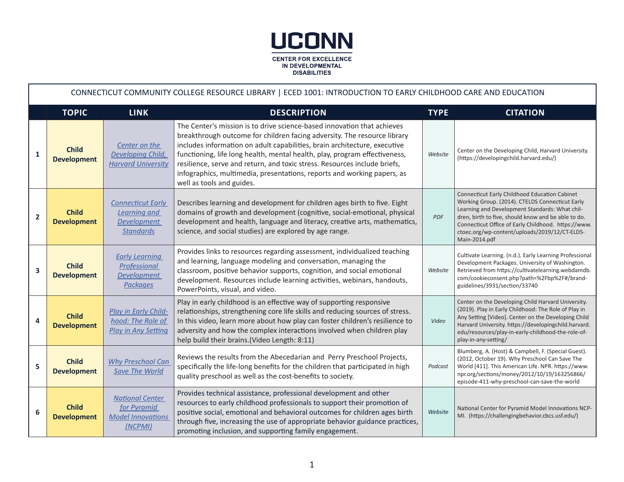

|                         | CONNECTICUT COMMUNITY COLLEGE RESOURCE LIBRARY   ECED 1001: INTRODUCTION TO EARLY CHILDHOOD CARE AND EDUCATION |                                                                                           |                                                                                                                                                                                                                                                                                                                                                                                                                                                                                                     |             |                                                                                                                                                                                                                                                                                                                                    |  |  |  |
|-------------------------|----------------------------------------------------------------------------------------------------------------|-------------------------------------------------------------------------------------------|-----------------------------------------------------------------------------------------------------------------------------------------------------------------------------------------------------------------------------------------------------------------------------------------------------------------------------------------------------------------------------------------------------------------------------------------------------------------------------------------------------|-------------|------------------------------------------------------------------------------------------------------------------------------------------------------------------------------------------------------------------------------------------------------------------------------------------------------------------------------------|--|--|--|
|                         | <b>TOPIC</b>                                                                                                   | <b>LINK</b>                                                                               | <b>DESCRIPTION</b>                                                                                                                                                                                                                                                                                                                                                                                                                                                                                  | <b>TYPE</b> | <b>CITATION</b>                                                                                                                                                                                                                                                                                                                    |  |  |  |
| $\mathbf{1}$            | <b>Child</b><br><b>Development</b>                                                                             | Center on the<br>Developing Child,<br><b>Harvard University</b>                           | The Center's mission is to drive science-based innovation that achieves<br>breakthrough outcome for children facing adversity. The resource library<br>includes information on adult capabilities, brain architecture, executive<br>functioning, life long health, mental health, play, program effectiveness,<br>resilience, serve and return, and toxic stress. Resources include briefs,<br>infographics, multimedia, presentations, reports and working papers, as<br>well as tools and guides. | Website     | Center on the Developing Child, Harvard University.<br>(https://developingchild.harvard.edu/)                                                                                                                                                                                                                                      |  |  |  |
| $\overline{\mathbf{2}}$ | <b>Child</b><br><b>Development</b>                                                                             | <b>Connecticut Early</b><br><b>Learning and</b><br><b>Development</b><br><b>Standards</b> | Describes learning and development for children ages birth to five. Eight<br>domains of growth and development (cognitive, social-emotional, physical<br>development and health, language and literacy, creative arts, mathematics,<br>science, and social studies) are explored by age range.                                                                                                                                                                                                      | PDF         | Connecticut Early Childhood Education Cabinet<br>Working Group. (2014). CTELDS Connecticut Early<br>Learning and Development Standards: What chil-<br>dren, birth to five, should know and be able to do.<br>Connecticut Office of Early Childhood. https://www.<br>ctoec.org/wp-content/uploads/2019/12/CT-ELDS-<br>Main-2014.pdf |  |  |  |
| 3                       | <b>Child</b><br><b>Development</b>                                                                             | <b>Early Learning</b><br>Professional<br><b>Development</b><br><b>Packages</b>            | Provides links to resources regarding assessment, individualized teaching<br>and learning, language modeling and conversation, managing the<br>classroom, positive behavior supports, cognition, and social emotional<br>development. Resources include learning activities, webinars, handouts,<br>PowerPoints, visual, and video.                                                                                                                                                                 | Website     | Cultivate Learning. (n.d.). Early Learning Professional<br>Development Packages. University of Washington.<br>Retrieved from https://cultivatelearning.webdamdb.<br>com/cookieconsent.php?path=%2Fbp%2F#/brand-<br>guidelines/3931/section/33740                                                                                   |  |  |  |
| 4                       | <b>Child</b><br><b>Development</b>                                                                             | Play in Early Child-<br>hood: The Role of<br><b>Play in Any Setting</b>                   | Play in early childhood is an effective way of supporting responsive<br>relationships, strengthening core life skills and reducing sources of stress.<br>In this video, learn more about how play can foster children's resilience to<br>adversity and how the complex interactions involved when children play<br>help build their brains. (Video Length: 8:11)                                                                                                                                    | Video       | Center on the Developing Child Harvard University.<br>(2019). Play in Early Childhood: The Role of Play in<br>Any Setting [Video]. Center on the Developing Child<br>Harvard University. https://developingchild.harvard.<br>edu/resources/play-in-early-childhood-the-role-of-<br>play-in-any-setting/                            |  |  |  |
| 5                       | <b>Child</b><br><b>Development</b>                                                                             | Why Preschool Can<br><b>Save The World</b>                                                | Reviews the results from the Abecedarian and Perry Preschool Projects,<br>specifically the life-long benefits for the children that participated in high<br>quality preschool as well as the cost-benefits to society.                                                                                                                                                                                                                                                                              | Podcast     | Blumberg, A. (Host) & Campbell, F. (Special Guest).<br>(2012, October 19). Why Preschool Can Save The<br>World [411]. This American Life. NPR. https://www.<br>npr.org/sections/money/2012/10/19/163256866/<br>episode-411-why-preschool-can-save-the-world                                                                        |  |  |  |
| 6                       | <b>Child</b><br><b>Development</b>                                                                             | <b>National Center</b><br>for Pyramid<br><b>Model Innovations</b><br>(NCPMI)              | Provides technical assistance, professional development and other<br>resources to early childhood professionals to support their promotion of<br>positive social, emotional and behavioral outcomes for children ages birth<br>through five, increasing the use of appropriate behavior guidance practices,<br>promoting inclusion, and supporting family engagement.                                                                                                                               | Website     | National Center for Pyramid Model Innovations NCP-<br>MI. (https://challengingbehavior.cbcs.usf.edu/)                                                                                                                                                                                                                              |  |  |  |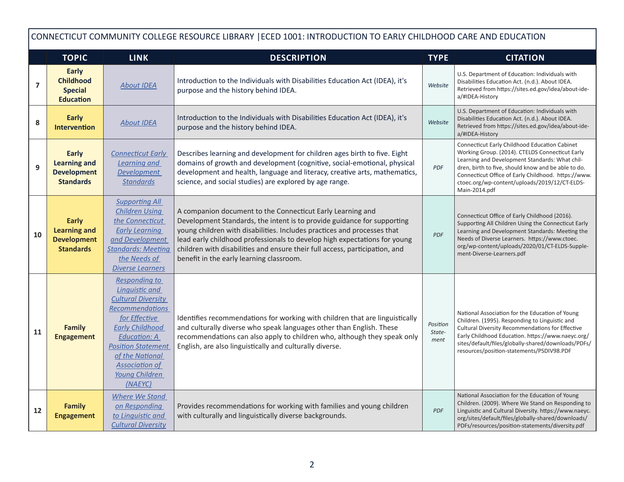|    | CONNECTICUT COMMUNITY COLLEGE RESOURCE LIBRARY   ECED 1001: INTRODUCTION TO EARLY CHILDHOOD CARE AND EDUCATION |                                                                                                                                                                                                                                                                |                                                                                                                                                                                                                                                                                                                                                                                                                          |                            |                                                                                                                                                                                                                                                                                                                                    |  |  |  |
|----|----------------------------------------------------------------------------------------------------------------|----------------------------------------------------------------------------------------------------------------------------------------------------------------------------------------------------------------------------------------------------------------|--------------------------------------------------------------------------------------------------------------------------------------------------------------------------------------------------------------------------------------------------------------------------------------------------------------------------------------------------------------------------------------------------------------------------|----------------------------|------------------------------------------------------------------------------------------------------------------------------------------------------------------------------------------------------------------------------------------------------------------------------------------------------------------------------------|--|--|--|
|    | <b>TOPIC</b>                                                                                                   | <b>LINK</b>                                                                                                                                                                                                                                                    | <b>DESCRIPTION</b>                                                                                                                                                                                                                                                                                                                                                                                                       | <b>TYPE</b>                | <b>CITATION</b>                                                                                                                                                                                                                                                                                                                    |  |  |  |
| 7  | <b>Early</b><br><b>Childhood</b><br><b>Special</b><br><b>Education</b>                                         | <b>About IDEA</b>                                                                                                                                                                                                                                              | Introduction to the Individuals with Disabilities Education Act (IDEA), it's<br>purpose and the history behind IDEA.                                                                                                                                                                                                                                                                                                     | Website                    | U.S. Department of Education: Individuals with<br>Disabilities Education Act. (n.d.). About IDEA.<br>Retrieved from https://sites.ed.gov/idea/about-ide-<br>a/#IDEA-History                                                                                                                                                        |  |  |  |
| 8  | <b>Early</b><br><b>Intervention</b>                                                                            | <b>About IDEA</b>                                                                                                                                                                                                                                              | Introduction to the Individuals with Disabilities Education Act (IDEA), it's<br>purpose and the history behind IDEA.                                                                                                                                                                                                                                                                                                     | Website                    | U.S. Department of Education: Individuals with<br>Disabilities Education Act. (n.d.). About IDEA.<br>Retrieved from https://sites.ed.gov/idea/about-ide-<br>a/#IDEA-History                                                                                                                                                        |  |  |  |
| 9  | Early<br><b>Learning and</b><br><b>Development</b><br><b>Standards</b>                                         | <b>Connecticut Early</b><br><b>Learning and</b><br><b>Development</b><br><b>Standards</b>                                                                                                                                                                      | Describes learning and development for children ages birth to five. Eight<br>domains of growth and development (cognitive, social-emotional, physical<br>development and health, language and literacy, creative arts, mathematics,<br>science, and social studies) are explored by age range.                                                                                                                           | <b>PDF</b>                 | Connecticut Early Childhood Education Cabinet<br>Working Group. (2014). CTELDS Connecticut Early<br>Learning and Development Standards: What chil-<br>dren, birth to five, should know and be able to do.<br>Connecticut Office of Early Childhood. https://www.<br>ctoec.org/wp-content/uploads/2019/12/CT-ELDS-<br>Main-2014.pdf |  |  |  |
| 10 | <b>Early</b><br><b>Learning and</b><br><b>Development</b><br><b>Standards</b>                                  | <b>Supporting All</b><br><b>Children Using</b><br>the Connecticut<br><b>Early Learning</b><br>and Development<br><b>Standards: Meeting</b><br>the Needs of<br><b>Diverse Learners</b>                                                                          | A companion document to the Connecticut Early Learning and<br>Development Standards, the intent is to provide guidance for supporting<br>young children with disabilities. Includes practices and processes that<br>lead early childhood professionals to develop high expectations for young<br>children with disabilities and ensure their full access, participation, and<br>benefit in the early learning classroom. | <b>PDF</b>                 | Connecticut Office of Early Childhood (2016).<br>Supporting All Children Using the Connecticut Early<br>Learning and Development Standards: Meeting the<br>Needs of Diverse Learners. https://www.ctoec.<br>org/wp-content/uploads/2020/01/CT-ELDS-Supple-<br>ment-Diverse-Learners.pdf                                            |  |  |  |
| 11 | <b>Family</b><br><b>Engagement</b>                                                                             | Responding to<br><b>Linguistic and</b><br><b>Cultural Diversity</b><br>Recommendations<br>for Effective<br><b>Early Childhood</b><br><b>Education: A</b><br><b>Position Statement</b><br>of the National<br><b>Association of</b><br>Young Children<br>(NAEYC) | Identifies recommendations for working with children that are linguistically<br>and culturally diverse who speak languages other than English. These<br>recommendations can also apply to children who, although they speak only<br>English, are also linguistically and culturally diverse.                                                                                                                             | Position<br>State-<br>ment | National Association for the Education of Young<br>Children. (1995). Responding to Linguistic and<br>Cultural Diversity Recommendations for Effective<br>Early Childhood Education. https://www.naeyc.org/<br>sites/default/files/globally-shared/downloads/PDFs/<br>resources/position-statements/PSDIV98.PDF                     |  |  |  |
| 12 | <b>Family</b><br><b>Engagement</b>                                                                             | <b>Where We Stand</b><br>on Responding<br>to Linguistic and<br><b>Cultural Diversity</b>                                                                                                                                                                       | Provides recommendations for working with families and young children<br>with culturally and linguistically diverse backgrounds.                                                                                                                                                                                                                                                                                         | <b>PDF</b>                 | National Association for the Education of Young<br>Children. (2009). Where We Stand on Responding to<br>Linguistic and Cultural Diversity. https://www.naeyc.<br>org/sites/default/files/globally-shared/downloads/<br>PDFs/resources/position-statements/diversity.pdf                                                            |  |  |  |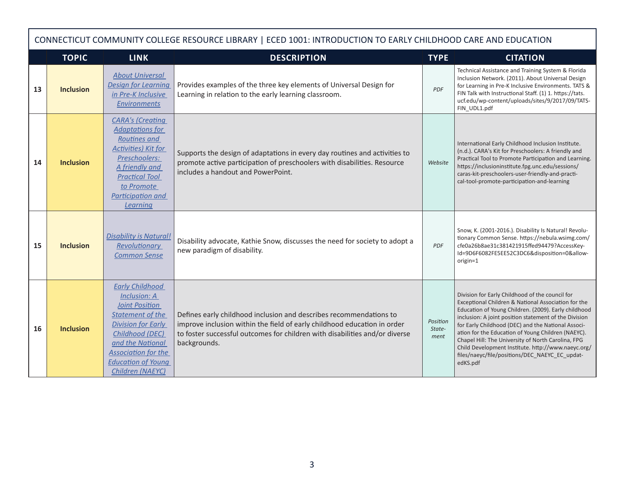|    | CONNECTICUT COMMUNITY COLLEGE RESOURCE LIBRARY   ECED 1001: INTRODUCTION TO EARLY CHILDHOOD CARE AND EDUCATION |                                                                                                                                                                                                                                                      |                                                                                                                                                                                                                                               |                            |                                                                                                                                                                                                                                                                                                                                                                                                                                                                                                               |  |  |  |  |
|----|----------------------------------------------------------------------------------------------------------------|------------------------------------------------------------------------------------------------------------------------------------------------------------------------------------------------------------------------------------------------------|-----------------------------------------------------------------------------------------------------------------------------------------------------------------------------------------------------------------------------------------------|----------------------------|---------------------------------------------------------------------------------------------------------------------------------------------------------------------------------------------------------------------------------------------------------------------------------------------------------------------------------------------------------------------------------------------------------------------------------------------------------------------------------------------------------------|--|--|--|--|
|    | <b>TOPIC</b>                                                                                                   | <b>LINK</b>                                                                                                                                                                                                                                          | <b>DESCRIPTION</b>                                                                                                                                                                                                                            | <b>TYPE</b>                | <b>CITATION</b>                                                                                                                                                                                                                                                                                                                                                                                                                                                                                               |  |  |  |  |
| 13 | <b>Inclusion</b>                                                                                               | <b>About Universal</b><br><b>Design for Learning</b><br>in Pre-K Inclusive<br><b>Environments</b>                                                                                                                                                    | Provides examples of the three key elements of Universal Design for<br>Learning in relation to the early learning classroom.                                                                                                                  | <b>PDF</b>                 | Technical Assistance and Training System & Florida<br>Inclusion Network. (2011). About Universal Design<br>for Learning in Pre-K Inclusive Environments. TATS &<br>FIN Talk with Instructional Staff. (1) 1. https://tats.<br>ucf.edu/wp-content/uploads/sites/9/2017/09/TATS-<br>FIN UDL1.pdf                                                                                                                                                                                                                |  |  |  |  |
| 14 | <b>Inclusion</b>                                                                                               | <b>CARA's (Creating</b><br><b>Adaptations for</b><br><b>Routines and</b><br><b>Activities) Kit for</b><br>Preschoolers:<br>A friendly and<br><b>Practical Tool</b><br>to Promote<br>Participation and<br>Learning                                    | Supports the design of adaptations in every day routines and activities to<br>promote active participation of preschoolers with disabilities. Resource<br>includes a handout and PowerPoint.                                                  | Website                    | International Early Childhood Inclusion Institute.<br>(n.d.). CARA's Kit for Preschoolers: A friendly and<br>Practical Tool to Promote Participation and Learning.<br>https://inclusioninstitute.fpg.unc.edu/sessions/<br>caras-kit-preschoolers-user-friendly-and-practi-<br>cal-tool-promote-participation-and-learning                                                                                                                                                                                     |  |  |  |  |
| 15 | <b>Inclusion</b>                                                                                               | <b>Disability is Natural!</b><br><b>Revolutionary</b><br><b>Common Sense</b>                                                                                                                                                                         | Disability advocate, Kathie Snow, discusses the need for society to adopt a<br>new paradigm of disability.                                                                                                                                    | <b>PDF</b>                 | Snow, K. (2001-2016.). Disability Is Natural! Revolu-<br>tionary Common Sense. https://nebula.wsimg.com/<br>cfe0a26b8ae31c381421915ffed94479?AccessKey-<br>Id=9D6F6082FE5EE52C3DC6&disposition=0&allow-<br>origin=1                                                                                                                                                                                                                                                                                           |  |  |  |  |
| 16 | <b>Inclusion</b>                                                                                               | <b>Early Childhood</b><br><b>Inclusion: A</b><br><b>Joint Position</b><br><b>Statement of the</b><br><b>Division for Early</b><br>Childhood (DEC)<br>and the National<br><b>Association for the</b><br><b>Education of Young</b><br>Children (NAEYC) | Defines early childhood inclusion and describes recommendations to<br>improve inclusion within the field of early childhood education in order<br>to foster successful outcomes for children with disabilities and/or diverse<br>backgrounds. | Position<br>State-<br>ment | Division for Early Childhood of the council for<br>Exceptional Children & National Association for the<br>Education of Young Children. (2009). Early childhood<br>inclusion: A joint position statement of the Division<br>for Early Childhood (DEC) and the National Associ-<br>ation for the Education of Young Children (NAEYC).<br>Chapel Hill: The University of North Carolina, FPG<br>Child Development Institute. http://www.naeyc.org/<br>files/naeyc/file/positions/DEC NAEYC EC updat-<br>edKS.pdf |  |  |  |  |

Г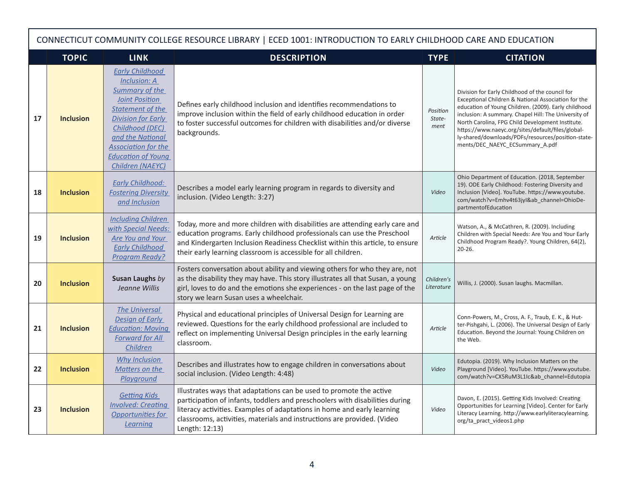|    | CONNECTICUT COMMUNITY COLLEGE RESOURCE LIBRARY   ECED 1001: INTRODUCTION TO EARLY CHILDHOOD CARE AND EDUCATION |                                                                                                                                                                                                                                                   |                                                                                                                                                                                                                                                                                                                             |                            |                                                                                                                                                                                                                                                                                                                                                                                                                          |  |  |  |  |
|----|----------------------------------------------------------------------------------------------------------------|---------------------------------------------------------------------------------------------------------------------------------------------------------------------------------------------------------------------------------------------------|-----------------------------------------------------------------------------------------------------------------------------------------------------------------------------------------------------------------------------------------------------------------------------------------------------------------------------|----------------------------|--------------------------------------------------------------------------------------------------------------------------------------------------------------------------------------------------------------------------------------------------------------------------------------------------------------------------------------------------------------------------------------------------------------------------|--|--|--|--|
|    | <b>TOPIC</b>                                                                                                   | <b>LINK</b>                                                                                                                                                                                                                                       | <b>DESCRIPTION</b>                                                                                                                                                                                                                                                                                                          | <b>TYPE</b>                | <b>CITATION</b>                                                                                                                                                                                                                                                                                                                                                                                                          |  |  |  |  |
| 17 | <b>Inclusion</b>                                                                                               | <b>Early Childhood</b><br>Inclusion: A<br>Summary of the<br><b>Joint Position</b><br>Statement of the<br><b>Division for Early</b><br>Childhood (DEC)<br>and the National<br>Association for the<br><b>Education of Young</b><br>Children (NAEYC) | Defines early childhood inclusion and identifies recommendations to<br>improve inclusion within the field of early childhood education in order<br>to foster successful outcomes for children with disabilities and/or diverse<br>backgrounds.                                                                              | Position<br>State-<br>ment | Division for Early Childhood of the council for<br>Exceptional Children & National Association for the<br>education of Young Children. (2009). Early childhood<br>inclusion: A summary. Chapel Hill: The University of<br>North Carolina, FPG Child Development Institute.<br>https://www.naeyc.org/sites/default/files/global-<br>ly-shared/downloads/PDFs/resources/position-state-<br>ments/DEC NAEYC ECSummary A.pdf |  |  |  |  |
| 18 | <b>Inclusion</b>                                                                                               | <b>Early Childhood:</b><br><b>Fostering Diversity</b><br>and Inclusion                                                                                                                                                                            | Describes a model early learning program in regards to diversity and<br>inclusion. (Video Length: 3:27)                                                                                                                                                                                                                     | Video                      | Ohio Department of Education. (2018, September<br>19). ODE Early Childhood: Fostering Diversity and<br>Inclusion [Video]. YouTube. https://www.youtube.<br>com/watch?v=Emhv4t63jyI&ab_channel=OhioDe-<br>partmentofEducation                                                                                                                                                                                             |  |  |  |  |
| 19 | <b>Inclusion</b>                                                                                               | <b>Including Children</b><br>with Special Needs:<br>Are You and Your<br><b>Early Childhood</b><br><b>Program Ready?</b>                                                                                                                           | Today, more and more children with disabilities are attending early care and<br>education programs. Early childhood professionals can use the Preschool<br>and Kindergarten Inclusion Readiness Checklist within this article, to ensure<br>their early learning classroom is accessible for all children.                  | Article                    | Watson, A., & McCathren, R. (2009). Including<br>Children with Special Needs: Are You and Your Early<br>Childhood Program Ready?. Young Children, 64(2),<br>$20 - 26$ .                                                                                                                                                                                                                                                  |  |  |  |  |
| 20 | <b>Inclusion</b>                                                                                               | Susan Laughs by<br>Jeanne Willis                                                                                                                                                                                                                  | Fosters conversation about ability and viewing others for who they are, not<br>as the disability they may have. This story illustrates all that Susan, a young<br>girl, loves to do and the emotions she experiences - on the last page of the<br>story we learn Susan uses a wheelchair.                                   | Children's<br>Literature   | Willis, J. (2000). Susan laughs. Macmillan.                                                                                                                                                                                                                                                                                                                                                                              |  |  |  |  |
| 21 | <b>Inclusion</b>                                                                                               | <b>The Universal</b><br><b>Design of Early</b><br><b>Education: Moving</b><br><b>Forward for All</b><br>Children                                                                                                                                  | Physical and educational principles of Universal Design for Learning are<br>reviewed. Questions for the early childhood professional are included to<br>reflect on implementing Universal Design principles in the early learning<br>classroom.                                                                             | Article                    | Conn-Powers, M., Cross, A. F., Traub, E. K., & Hut-<br>ter-Pishgahi, L. (2006). The Universal Design of Early<br>Education. Beyond the Journal: Young Children on<br>the Web.                                                                                                                                                                                                                                            |  |  |  |  |
| 22 | <b>Inclusion</b>                                                                                               | <b>Why Inclusion</b><br>Matters on the<br>Playground                                                                                                                                                                                              | Describes and illustrates how to engage children in conversations about<br>social inclusion. (Video Length: 4:48)                                                                                                                                                                                                           | Video                      | Edutopia. (2019). Why Inclusion Matters on the<br>Playground [Video]. YouTube. https://www.youtube.<br>com/watch?v=CX5RuM3L1Ic&ab channel=Edutopia                                                                                                                                                                                                                                                                       |  |  |  |  |
| 23 | <b>Inclusion</b>                                                                                               | <b>Getting Kids</b><br><b>Involved: Creating</b><br>Opportunities for<br>Learning                                                                                                                                                                 | Illustrates ways that adaptations can be used to promote the active<br>participation of infants, toddlers and preschoolers with disabilities during<br>literacy activities. Examples of adaptations in home and early learning<br>classrooms, activities, materials and instructions are provided. (Video<br>Length: 12:13) | Video                      | Davon, E. (2015). Getting Kids Involved: Creating<br>Opportunities for Learning [Video]. Center for Early<br>Literacy Learning. http://www.earlyliteracylearning.<br>org/ta_pract_videos1.php                                                                                                                                                                                                                            |  |  |  |  |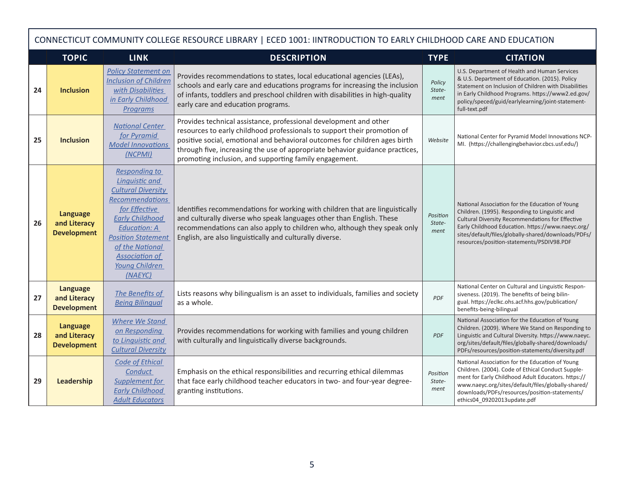|    | CONNECTICUT COMMUNITY COLLEGE RESOURCE LIBRARY   ECED 1001: IINTRODUCTION TO EARLY CHILDHOOD CARE AND EDUCATION |                                                                                                                                                                                                                                                                       |                                                                                                                                                                                                                                                                                                                                                                       |                            |                                                                                                                                                                                                                                                                                                                |  |  |  |
|----|-----------------------------------------------------------------------------------------------------------------|-----------------------------------------------------------------------------------------------------------------------------------------------------------------------------------------------------------------------------------------------------------------------|-----------------------------------------------------------------------------------------------------------------------------------------------------------------------------------------------------------------------------------------------------------------------------------------------------------------------------------------------------------------------|----------------------------|----------------------------------------------------------------------------------------------------------------------------------------------------------------------------------------------------------------------------------------------------------------------------------------------------------------|--|--|--|
|    | <b>TOPIC</b>                                                                                                    | <b>LINK</b>                                                                                                                                                                                                                                                           | <b>DESCRIPTION</b>                                                                                                                                                                                                                                                                                                                                                    | <b>TYPE</b>                | <b>CITATION</b>                                                                                                                                                                                                                                                                                                |  |  |  |
| 24 | <b>Inclusion</b>                                                                                                | <b>Policy Statement on</b><br><b>Inclusion of Children</b><br>with Disabilities<br>in Early Childhood<br>Programs                                                                                                                                                     | Provides recommendations to states, local educational agencies (LEAs),<br>schools and early care and educations programs for increasing the inclusion<br>of infants, toddlers and preschool children with disabilities in high-quality<br>early care and education programs.                                                                                          | Policy<br>State-<br>ment   | U.S. Department of Health and Human Services<br>& U.S. Department of Education. (2015). Policy<br>Statement on Inclusion of Children with Disabilities<br>in Early Childhood Programs. https://www2.ed.gov/<br>policy/speced/guid/earlylearning/joint-statement-<br>full-text.pdf                              |  |  |  |
| 25 | <b>Inclusion</b>                                                                                                | <b>National Center</b><br>for Pyramid<br><b>Model Innovations</b><br>(NCPMI)                                                                                                                                                                                          | Provides technical assistance, professional development and other<br>resources to early childhood professionals to support their promotion of<br>positive social, emotional and behavioral outcomes for children ages birth<br>through five, increasing the use of appropriate behavior guidance practices,<br>promoting inclusion, and supporting family engagement. | Website                    | National Center for Pyramid Model Innovations NCP-<br>MI. (https://challengingbehavior.cbcs.usf.edu/)                                                                                                                                                                                                          |  |  |  |
| 26 | <b>Language</b><br>and Literacy<br><b>Development</b>                                                           | <b>Responding to</b><br>Linguistic and<br><b>Cultural Diversity</b><br><b>Recommendations</b><br>for Effective<br><b>Early Childhood</b><br><b>Education: A</b><br><b>Position Statement</b><br>of the National<br><b>Association of</b><br>Young Children<br>(NAEYC) | Identifies recommendations for working with children that are linguistically<br>and culturally diverse who speak languages other than English. These<br>recommendations can also apply to children who, although they speak only<br>English, are also linguistically and culturally diverse.                                                                          | Position<br>State-<br>ment | National Association for the Education of Young<br>Children. (1995). Responding to Linguistic and<br>Cultural Diversity Recommendations for Effective<br>Early Childhood Education. https://www.naeyc.org/<br>sites/default/files/globally-shared/downloads/PDFs/<br>resources/position-statements/PSDIV98.PDF |  |  |  |
| 27 | Language<br>and Literacy<br><b>Development</b>                                                                  | The Benefits of<br><b>Being Bilingual</b>                                                                                                                                                                                                                             | Lists reasons why bilingualism is an asset to individuals, families and society<br>as a whole.                                                                                                                                                                                                                                                                        | <b>PDF</b>                 | National Center on Cultural and Linguistic Respon-<br>siveness. (2019). The benefits of being bilin-<br>gual. https://eclkc.ohs.acf.hhs.gov/publication/<br>benefits-being-bilingual                                                                                                                           |  |  |  |
| 28 | Language<br>and Literacy<br><b>Development</b>                                                                  | <b>Where We Stand</b><br>on Responding<br>to Linguistic and<br><b>Cultural Diversity</b>                                                                                                                                                                              | Provides recommendations for working with families and young children<br>with culturally and linguistically diverse backgrounds.                                                                                                                                                                                                                                      | <b>PDF</b>                 | National Association for the Education of Young<br>Children. (2009). Where We Stand on Responding to<br>Linguistic and Cultural Diversity. https://www.naeyc.<br>org/sites/default/files/globally-shared/downloads/<br>PDFs/resources/position-statements/diversity.pdf                                        |  |  |  |
| 29 | Leadership                                                                                                      | <b>Code of Ethical</b><br>Conduct<br>Supplement for<br><b>Early Childhood</b><br><b>Adult Educators</b>                                                                                                                                                               | Emphasis on the ethical responsibilities and recurring ethical dilemmas<br>that face early childhood teacher educators in two- and four-year degree-<br>granting institutions.                                                                                                                                                                                        | Position<br>State-<br>ment | National Association for the Education of Young<br>Children. (2004). Code of Ethical Conduct Supple-<br>ment for Early Childhood Adult Educators. https://<br>www.naeyc.org/sites/default/files/globally-shared/<br>downloads/PDFs/resources/position-statements/<br>ethics04 09202013update.pdf               |  |  |  |

г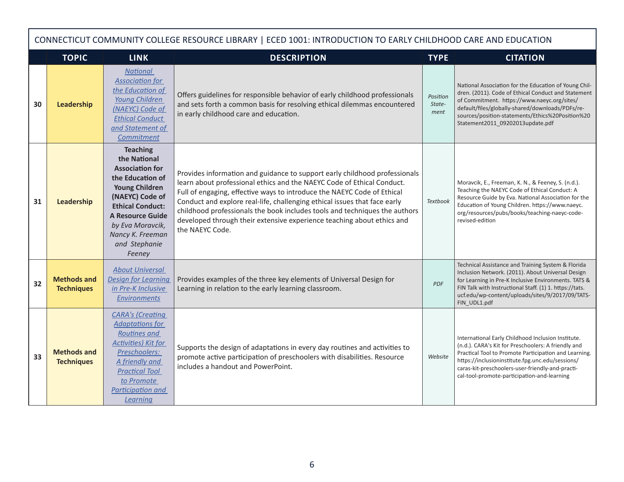|    | CONNECTICUT COMMUNITY COLLEGE RESOURCE LIBRARY   ECED 1001: INTRODUCTION TO EARLY CHILDHOOD CARE AND EDUCATION |                                                                                                                                                                                                                                                    |                                                                                                                                                                                                                                                                                                                                                                                                                                                                                         |                            |                                                                                                                                                                                                                                                                                                                           |  |  |  |
|----|----------------------------------------------------------------------------------------------------------------|----------------------------------------------------------------------------------------------------------------------------------------------------------------------------------------------------------------------------------------------------|-----------------------------------------------------------------------------------------------------------------------------------------------------------------------------------------------------------------------------------------------------------------------------------------------------------------------------------------------------------------------------------------------------------------------------------------------------------------------------------------|----------------------------|---------------------------------------------------------------------------------------------------------------------------------------------------------------------------------------------------------------------------------------------------------------------------------------------------------------------------|--|--|--|
|    | <b>TOPIC</b>                                                                                                   | <b>LINK</b>                                                                                                                                                                                                                                        | <b>DESCRIPTION</b>                                                                                                                                                                                                                                                                                                                                                                                                                                                                      | <b>TYPE</b>                | <b>CITATION</b>                                                                                                                                                                                                                                                                                                           |  |  |  |
| 30 | Leadership                                                                                                     | <b>National</b><br><b>Association for</b><br>the Education of<br>Young Children<br>(NAEYC) Code of<br><b>Ethical Conduct</b><br>and Statement of<br>Commitment                                                                                     | Offers guidelines for responsible behavior of early childhood professionals<br>and sets forth a common basis for resolving ethical dilemmas encountered<br>in early childhood care and education.                                                                                                                                                                                                                                                                                       | Position<br>State-<br>ment | National Association for the Education of Young Chil-<br>dren. (2011). Code of Ethical Conduct and Statement<br>of Commitment. https://www.naeyc.org/sites/<br>default/files/globally-shared/downloads/PDFs/re-<br>sources/position-statements/Ethics%20Position%20<br>Statement2011_09202013update.pdf                   |  |  |  |
| 31 | Leadership                                                                                                     | <b>Teaching</b><br>the National<br><b>Association for</b><br>the Education of<br><b>Young Children</b><br>(NAEYC) Code of<br><b>Ethical Conduct:</b><br><b>A Resource Guide</b><br>by Eva Moravcik,<br>Nancy K. Freeman<br>and Stephanie<br>Feeney | Provides information and guidance to support early childhood professionals<br>learn about professional ethics and the NAEYC Code of Ethical Conduct.<br>Full of engaging, effective ways to introduce the NAEYC Code of Ethical<br>Conduct and explore real-life, challenging ethical issues that face early<br>childhood professionals the book includes tools and techniques the authors<br>developed through their extensive experience teaching about ethics and<br>the NAEYC Code. | <b>Textbook</b>            | Moravcik, E., Freeman, K. N., & Feeney, S. (n.d.).<br>Teaching the NAEYC Code of Ethical Conduct: A<br>Resource Guide by Eva. National Association for the<br>Education of Young Children. https://www.naeyc.<br>org/resources/pubs/books/teaching-naeyc-code-<br>revised-edition                                         |  |  |  |
| 32 | <b>Methods and</b><br><b>Techniques</b>                                                                        | <b>About Universal</b><br><b>Design for Learning</b><br>in Pre-K Inclusive<br><b>Environments</b>                                                                                                                                                  | Provides examples of the three key elements of Universal Design for<br>Learning in relation to the early learning classroom.                                                                                                                                                                                                                                                                                                                                                            | PDF                        | Technical Assistance and Training System & Florida<br>Inclusion Network. (2011). About Universal Design<br>for Learning in Pre-K Inclusive Environments. TATS &<br>FIN Talk with Instructional Staff. (1) 1. https://tats.<br>ucf.edu/wp-content/uploads/sites/9/2017/09/TATS-<br>FIN UDL1.pdf                            |  |  |  |
| 33 | <b>Methods and</b><br><b>Techniques</b>                                                                        | <b>CARA's (Creating</b><br><b>Adaptations for</b><br>Routines and<br>Activities) Kit for<br>Preschoolers:<br>A friendly and<br><b>Practical Tool</b><br>to Promote<br>Participation and<br>Learning                                                | Supports the design of adaptations in every day routines and activities to<br>promote active participation of preschoolers with disabilities. Resource<br>includes a handout and PowerPoint.                                                                                                                                                                                                                                                                                            | Website                    | International Early Childhood Inclusion Institute.<br>(n.d.). CARA's Kit for Preschoolers: A friendly and<br>Practical Tool to Promote Participation and Learning.<br>https://inclusioninstitute.fpg.unc.edu/sessions/<br>caras-kit-preschoolers-user-friendly-and-practi-<br>cal-tool-promote-participation-and-learning |  |  |  |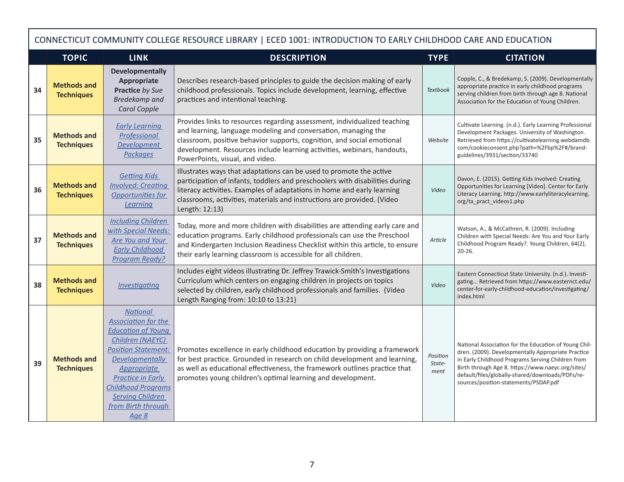|    | CONNECTICUT COMMUNITY COLLEGE RESOURCE LIBRARY   ECED 1001: INTRODUCTION TO EARLY CHILDHOOD CARE AND EDUCATION |                                                                                                                                                                                                                                                                                   |                                                                                                                                                                                                                                                                                                                                     |                            |                                                                                                                                                                                                                                                                                                                    |  |  |  |
|----|----------------------------------------------------------------------------------------------------------------|-----------------------------------------------------------------------------------------------------------------------------------------------------------------------------------------------------------------------------------------------------------------------------------|-------------------------------------------------------------------------------------------------------------------------------------------------------------------------------------------------------------------------------------------------------------------------------------------------------------------------------------|----------------------------|--------------------------------------------------------------------------------------------------------------------------------------------------------------------------------------------------------------------------------------------------------------------------------------------------------------------|--|--|--|
|    | <b>TOPIC</b>                                                                                                   | <b>LINK</b>                                                                                                                                                                                                                                                                       | <b>DESCRIPTION</b>                                                                                                                                                                                                                                                                                                                  | <b>TYPE</b>                | <b>CITATION</b>                                                                                                                                                                                                                                                                                                    |  |  |  |
| 34 | <b>Methods and</b><br><b>Techniques</b>                                                                        | <b>Developmentally</b><br>Appropriate<br>Practice by Sue<br><b>Bredekamp</b> and<br>Carol Copple                                                                                                                                                                                  | Describes research-based principles to guide the decision making of early<br>childhood professionals. Topics include development, learning, effective<br>practices and intentional teaching.                                                                                                                                        | <b>Textbook</b>            | Copple, C., & Bredekamp, S. (2009). Developmentally<br>appropriate practice in early childhood programs<br>serving children from birth through age 8. National<br>Association for the Education of Young Children.                                                                                                 |  |  |  |
| 35 | <b>Methods and</b><br><b>Techniques</b>                                                                        | <b>Early Learning</b><br><b>Professional</b><br><b>Development</b><br><b>Packages</b>                                                                                                                                                                                             | Provides links to resources regarding assessment, individualized teaching<br>and learning, language modeling and conversation, managing the<br>classroom, positive behavior supports, cognition, and social emotional<br>development. Resources include learning activities, webinars, handouts,<br>PowerPoints, visual, and video. | Website                    | Cultivate Learning. (n.d.). Early Learning Professional<br>Development Packages. University of Washington.<br>Retrieved from https://cultivatelearning.webdamdb.<br>com/cookieconsent.php?path=%2Fbp%2F#/brand-<br>guidelines/3931/section/33740                                                                   |  |  |  |
| 36 | <b>Methods and</b><br><b>Techniques</b>                                                                        | <b>Getting Kids</b><br><b>Involved: Creating</b><br>Opportunities for<br>Learning                                                                                                                                                                                                 | Illustrates ways that adaptations can be used to promote the active<br>participation of infants, toddlers and preschoolers with disabilities during<br>literacy activities. Examples of adaptations in home and early learning<br>classrooms, activities, materials and instructions are provided. (Video<br>Length: 12:13)         | Video                      | Davon, E. (2015). Getting Kids Involved: Creating<br>Opportunities for Learning [Video]. Center for Early<br>Literacy Learning. http://www.earlyliteracylearning.<br>org/ta_pract_videos1.php                                                                                                                      |  |  |  |
| 37 | <b>Methods and</b><br><b>Techniques</b>                                                                        | <b>Including Children</b><br>with Special Needs:<br>Are You and Your<br><b>Early Childhood</b><br><b>Program Ready?</b>                                                                                                                                                           | Today, more and more children with disabilities are attending early care and<br>education programs. Early childhood professionals can use the Preschool<br>and Kindergarten Inclusion Readiness Checklist within this article, to ensure<br>their early learning classroom is accessible for all children.                          | Article                    | Watson, A., & McCathren, R. (2009). Including<br>Children with Special Needs: Are You and Your Early<br>Childhood Program Ready?. Young Children, 64(2),<br>$20 - 26.$                                                                                                                                             |  |  |  |
| 38 | <b>Methods and</b><br><b>Techniques</b>                                                                        | <b>Investigating</b>                                                                                                                                                                                                                                                              | Includes eight videos illustrating Dr. Jeffrey Trawick-Smith's Investigations<br>Curriculum which centers on engaging children in projects on topics<br>selected by children, early childhood professionals and families. (Video<br>Length Ranging from: 10:10 to 13:21)                                                            | Video                      | Eastern Connecticut State University. (n.d.). Investi-<br>gating Retrieved from https://www.easternct.edu/<br>center-for-early-childhood-education/investigating/<br>index.html                                                                                                                                    |  |  |  |
| 39 | <b>Methods and</b><br><b>Techniques</b>                                                                        | <b>National</b><br><b>Association for the</b><br><b>Education of Young</b><br>Children (NAEYC)<br><b>Position Statement:</b><br>Developmentally<br><b>Appropriate</b><br>Practice in Early<br><b>Childhood Programs</b><br><b>Serving Children</b><br>from Birth through<br>Age 8 | Promotes excellence in early childhood education by providing a framework<br>for best practice. Grounded in research on child development and learning,<br>as well as educational effectiveness, the framework outlines practice that<br>promotes young children's optimal learning and development.                                | Position<br>State-<br>ment | National Association for the Education of Young Chil-<br>dren. (2009). Developmentally Appropriate Practice<br>in Early Childhood Programs Serving Children from<br>Birth through Age 8. https://www.naeyc.org/sites/<br>default/files/globally-shared/downloads/PDFs/re-<br>sources/position-statements/PSDAP.pdf |  |  |  |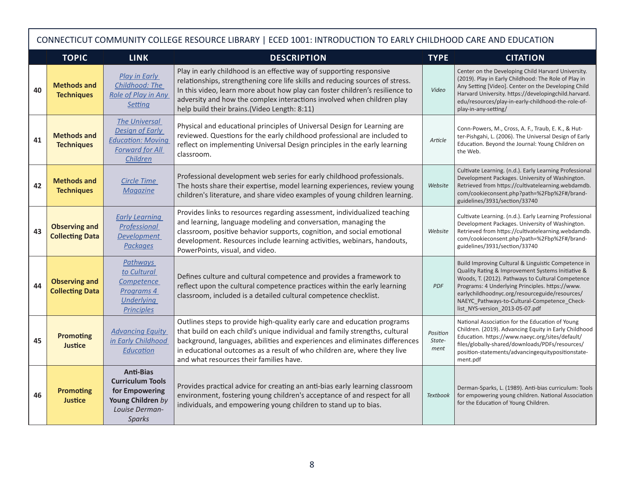|    | CONNECTICUT COMMUNITY COLLEGE RESOURCE LIBRARY   ECED 1001: INTRODUCTION TO EARLY CHILDHOOD CARE AND EDUCATION |                                                                                                                  |                                                                                                                                                                                                                                                                                                                                                                  |                            |                                                                                                                                                                                                                                                                                                                                                       |  |  |  |
|----|----------------------------------------------------------------------------------------------------------------|------------------------------------------------------------------------------------------------------------------|------------------------------------------------------------------------------------------------------------------------------------------------------------------------------------------------------------------------------------------------------------------------------------------------------------------------------------------------------------------|----------------------------|-------------------------------------------------------------------------------------------------------------------------------------------------------------------------------------------------------------------------------------------------------------------------------------------------------------------------------------------------------|--|--|--|
|    | <b>TOPIC</b>                                                                                                   | <b>LINK</b>                                                                                                      | <b>DESCRIPTION</b>                                                                                                                                                                                                                                                                                                                                               | <b>TYPE</b>                | <b>CITATION</b>                                                                                                                                                                                                                                                                                                                                       |  |  |  |
| 40 | <b>Methods and</b><br><b>Techniques</b>                                                                        | Play in Early<br>Childhood: The<br><b>Role of Play in Any</b><br><b>Setting</b>                                  | Play in early childhood is an effective way of supporting responsive<br>relationships, strengthening core life skills and reducing sources of stress.<br>In this video, learn more about how play can foster children's resilience to<br>adversity and how the complex interactions involved when children play<br>help build their brains. (Video Length: 8:11) | Video                      | Center on the Developing Child Harvard University.<br>(2019). Play in Early Childhood: The Role of Play in<br>Any Setting [Video]. Center on the Developing Child<br>Harvard University. https://developingchild.harvard.<br>edu/resources/play-in-early-childhood-the-role-of-<br>play-in-any-setting/                                               |  |  |  |
| 41 | <b>Methods and</b><br><b>Techniques</b>                                                                        | <b>The Universal</b><br><b>Design of Early</b><br><b>Education: Moving</b><br><b>Forward for All</b><br>Children | Physical and educational principles of Universal Design for Learning are<br>reviewed. Questions for the early childhood professional are included to<br>reflect on implementing Universal Design principles in the early learning<br>classroom.                                                                                                                  | Article                    | Conn-Powers, M., Cross, A. F., Traub, E. K., & Hut-<br>ter-Pishgahi, L. (2006). The Universal Design of Early<br>Education. Beyond the Journal: Young Children on<br>the Web.                                                                                                                                                                         |  |  |  |
| 42 | <b>Methods and</b><br><b>Techniques</b>                                                                        | <b>Circle Time</b><br><b>Magazine</b>                                                                            | Professional development web series for early childhood professionals.<br>The hosts share their expertise, model learning experiences, review young<br>children's literature, and share video examples of young children learning.                                                                                                                               | Website                    | Cultivate Learning. (n.d.). Early Learning Professional<br>Development Packages. University of Washington.<br>Retrieved from https://cultivatelearning.webdamdb.<br>com/cookieconsent.php?path=%2Fbp%2F#/brand-<br>guidelines/3931/section/33740                                                                                                      |  |  |  |
| 43 | <b>Observing and</b><br><b>Collecting Data</b>                                                                 | <b>Early Learning</b><br><b>Professional</b><br><b>Development</b><br><b>Packages</b>                            | Provides links to resources regarding assessment, individualized teaching<br>and learning, language modeling and conversation, managing the<br>classroom, positive behavior supports, cognition, and social emotional<br>development. Resources include learning activities, webinars, handouts,<br>PowerPoints, visual, and video.                              | Website                    | Cultivate Learning. (n.d.). Early Learning Professional<br>Development Packages. University of Washington.<br>Retrieved from https://cultivatelearning.webdamdb.<br>com/cookieconsent.php?path=%2Fbp%2F#/brand-<br>guidelines/3931/section/33740                                                                                                      |  |  |  |
| 44 | <b>Observing and</b><br><b>Collecting Data</b>                                                                 | <b>Pathways</b><br>to Cultural<br>Competence<br>Programs 4<br><b>Underlying</b><br><b>Principles</b>             | Defines culture and cultural competence and provides a framework to<br>reflect upon the cultural competence practices within the early learning<br>classroom, included is a detailed cultural competence checklist.                                                                                                                                              | <b>PDF</b>                 | Build Improving Cultural & Linguistic Competence in<br>Quality Rating & Improvement Systems Initiative &<br>Woods, T. (2012). Pathways to Cultural Competence<br>Programs: 4 Underlying Principles. https://www.<br>earlychildhoodnyc.org/resourceguide/resources/<br>NAEYC Pathways-to-Cultural-Competence Check-<br>list_NYS-version_2013-05-07.pdf |  |  |  |
| 45 | <b>Promoting</b><br><b>Justice</b>                                                                             | <b>Advancing Equity</b><br>in Early Childhood<br>Education                                                       | Outlines steps to provide high-quality early care and education programs<br>that build on each child's unique individual and family strengths, cultural<br>background, languages, abilities and experiences and eliminates differences<br>in educational outcomes as a result of who children are, where they live<br>and what resources their families have.    | Position<br>State-<br>ment | National Association for the Education of Young<br>Children. (2019). Advancing Equity in Early Childhood<br>Education. https://www.naeyc.org/sites/default/<br>files/globally-shared/downloads/PDFs/resources/<br>position-statements/advancingequitypositionstate-<br>ment.pdf                                                                       |  |  |  |
| 46 | <b>Promoting</b><br><b>Justice</b>                                                                             | <b>Anti-Bias</b><br><b>Curriculum Tools</b><br>for Empowering<br>Young Children by<br>Louise Derman-<br>Sparks   | Provides practical advice for creating an anti-bias early learning classroom<br>environment, fostering young children's acceptance of and respect for all<br>individuals, and empowering young children to stand up to bias.                                                                                                                                     | <b>Textbook</b>            | Derman-Sparks, L. (1989). Anti-bias curriculum: Tools<br>for empowering young children. National Association<br>for the Education of Young Children.                                                                                                                                                                                                  |  |  |  |

г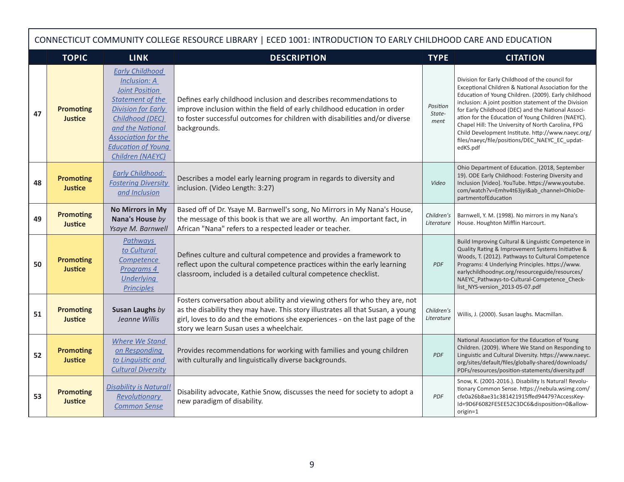|    | CONNECTICUT COMMUNITY COLLEGE RESOURCE LIBRARY   ECED 1001: INTRODUCTION TO EARLY CHILDHOOD CARE AND EDUCATION |                                                                                                                                                                                                                                                      |                                                                                                                                                                                                                                                                                           |                            |                                                                                                                                                                                                                                                                                                                                                                                                                                                                                                               |  |  |  |
|----|----------------------------------------------------------------------------------------------------------------|------------------------------------------------------------------------------------------------------------------------------------------------------------------------------------------------------------------------------------------------------|-------------------------------------------------------------------------------------------------------------------------------------------------------------------------------------------------------------------------------------------------------------------------------------------|----------------------------|---------------------------------------------------------------------------------------------------------------------------------------------------------------------------------------------------------------------------------------------------------------------------------------------------------------------------------------------------------------------------------------------------------------------------------------------------------------------------------------------------------------|--|--|--|
|    | <b>TOPIC</b>                                                                                                   | <b>LINK</b>                                                                                                                                                                                                                                          | <b>DESCRIPTION</b>                                                                                                                                                                                                                                                                        | <b>TYPE</b>                | <b>CITATION</b>                                                                                                                                                                                                                                                                                                                                                                                                                                                                                               |  |  |  |
| 47 | <b>Promoting</b><br><b>Justice</b>                                                                             | <b>Early Childhood</b><br><b>Inclusion: A</b><br><b>Joint Position</b><br><b>Statement of the</b><br><b>Division for Early</b><br>Childhood (DEC)<br>and the National<br><b>Association for the</b><br><b>Education of Young</b><br>Children (NAEYC) | Defines early childhood inclusion and describes recommendations to<br>improve inclusion within the field of early childhood education in order<br>to foster successful outcomes for children with disabilities and/or diverse<br>backgrounds.                                             | Position<br>State-<br>ment | Division for Early Childhood of the council for<br>Exceptional Children & National Association for the<br>Education of Young Children. (2009). Early childhood<br>inclusion: A joint position statement of the Division<br>for Early Childhood (DEC) and the National Associ-<br>ation for the Education of Young Children (NAEYC).<br>Chapel Hill: The University of North Carolina, FPG<br>Child Development Institute. http://www.naeyc.org/<br>files/naeyc/file/positions/DEC_NAEYC_EC_updat-<br>edKS.pdf |  |  |  |
| 48 | <b>Promoting</b><br><b>Justice</b>                                                                             | <b>Early Childhood:</b><br><b>Fostering Diversity</b><br>and Inclusion                                                                                                                                                                               | Describes a model early learning program in regards to diversity and<br>inclusion. (Video Length: 3:27)                                                                                                                                                                                   | Video                      | Ohio Department of Education. (2018, September<br>19). ODE Early Childhood: Fostering Diversity and<br>Inclusion [Video]. YouTube. https://www.youtube.<br>com/watch?v=Emhv4t63jyI&ab_channel=OhioDe-<br>partmentofEducation                                                                                                                                                                                                                                                                                  |  |  |  |
| 49 | <b>Promoting</b><br>Justice                                                                                    | <b>No Mirrors in My</b><br>Nana's House by<br>Ysaye M. Barnwell                                                                                                                                                                                      | Based off of Dr. Ysaye M. Barnwell's song, No Mirrors in My Nana's House,<br>the message of this book is that we are all worthy. An important fact, in<br>African "Nana" refers to a respected leader or teacher.                                                                         | Children's<br>Literature   | Barnwell, Y. M. (1998). No mirrors in my Nana's<br>House. Houghton Mifflin Harcourt.                                                                                                                                                                                                                                                                                                                                                                                                                          |  |  |  |
| 50 | <b>Promoting</b><br><b>Justice</b>                                                                             | <b>Pathways</b><br>to Cultural<br><b>Competence</b><br>Programs 4<br><b>Underlying</b><br><b>Principles</b>                                                                                                                                          | Defines culture and cultural competence and provides a framework to<br>reflect upon the cultural competence practices within the early learning<br>classroom, included is a detailed cultural competence checklist.                                                                       | <b>PDF</b>                 | Build Improving Cultural & Linguistic Competence in<br>Quality Rating & Improvement Systems Initiative &<br>Woods, T. (2012). Pathways to Cultural Competence<br>Programs: 4 Underlying Principles. https://www.<br>earlychildhoodnyc.org/resourceguide/resources/<br>NAEYC_Pathways-to-Cultural-Competence_Check-<br>list NYS-version 2013-05-07.pdf                                                                                                                                                         |  |  |  |
| 51 | <b>Promoting</b><br><b>Justice</b>                                                                             | Susan Laughs by<br>Jeanne Willis                                                                                                                                                                                                                     | Fosters conversation about ability and viewing others for who they are, not<br>as the disability they may have. This story illustrates all that Susan, a young<br>girl, loves to do and the emotions she experiences - on the last page of the<br>story we learn Susan uses a wheelchair. | Children's<br>Literature   | Willis, J. (2000). Susan laughs. Macmillan.                                                                                                                                                                                                                                                                                                                                                                                                                                                                   |  |  |  |
| 52 | <b>Promoting</b><br><b>Justice</b>                                                                             | <b>Where We Stand</b><br>on Responding<br>to Linguistic and<br><b>Cultural Diversity</b>                                                                                                                                                             | Provides recommendations for working with families and young children<br>with culturally and linguistically diverse backgrounds.                                                                                                                                                          | <b>PDF</b>                 | National Association for the Education of Young<br>Children. (2009). Where We Stand on Responding to<br>Linguistic and Cultural Diversity. https://www.naeyc.<br>org/sites/default/files/globally-shared/downloads/<br>PDFs/resources/position-statements/diversity.pdf                                                                                                                                                                                                                                       |  |  |  |
| 53 | <b>Promoting</b><br>Justice                                                                                    | <b>Disability is Natural!</b><br>Revolutionary<br><b>Common Sense</b>                                                                                                                                                                                | Disability advocate, Kathie Snow, discusses the need for society to adopt a<br>new paradigm of disability.                                                                                                                                                                                | <b>PDF</b>                 | Snow, K. (2001-2016.). Disability Is Natural! Revolu-<br>tionary Common Sense. https://nebula.wsimg.com/<br>cfe0a26b8ae31c381421915ffed94479?AccessKey-<br>Id=9D6F6082FE5EE52C3DC6&disposition=0&allow-<br>origin=1                                                                                                                                                                                                                                                                                           |  |  |  |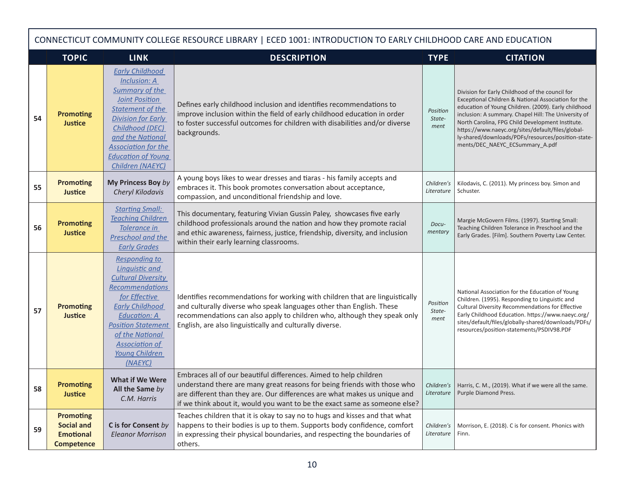|    | CONNECTICUT COMMUNITY COLLEGE RESOURCE LIBRARY   ECED 1001: INTRODUCTION TO EARLY CHILDHOOD CARE AND EDUCATION |                                                                                                                                                                                                                                                                        |                                                                                                                                                                                                                                                                                                                                                                              |                            |                                                                                                                                                                                                                                                                                                                                                                                                                          |  |  |  |
|----|----------------------------------------------------------------------------------------------------------------|------------------------------------------------------------------------------------------------------------------------------------------------------------------------------------------------------------------------------------------------------------------------|------------------------------------------------------------------------------------------------------------------------------------------------------------------------------------------------------------------------------------------------------------------------------------------------------------------------------------------------------------------------------|----------------------------|--------------------------------------------------------------------------------------------------------------------------------------------------------------------------------------------------------------------------------------------------------------------------------------------------------------------------------------------------------------------------------------------------------------------------|--|--|--|
|    | <b>TOPIC</b>                                                                                                   | <b>LINK</b>                                                                                                                                                                                                                                                            | <b>DESCRIPTION</b>                                                                                                                                                                                                                                                                                                                                                           | <b>TYPE</b>                | <b>CITATION</b>                                                                                                                                                                                                                                                                                                                                                                                                          |  |  |  |
| 54 | <b>Promoting</b><br><b>Justice</b>                                                                             | <b>Early Childhood</b><br><b>Inclusion: A</b><br><b>Summary of the</b><br><b>Joint Position</b><br>Statement of the<br><b>Division for Early</b><br>Childhood (DEC)<br>and the National<br><b>Association for the</b><br><b>Education of Young</b><br>Children (NAEYC) | Defines early childhood inclusion and identifies recommendations to<br>improve inclusion within the field of early childhood education in order<br>to foster successful outcomes for children with disabilities and/or diverse<br>backgrounds.                                                                                                                               | Position<br>State-<br>ment | Division for Early Childhood of the council for<br>Exceptional Children & National Association for the<br>education of Young Children. (2009). Early childhood<br>inclusion: A summary. Chapel Hill: The University of<br>North Carolina, FPG Child Development Institute.<br>https://www.naeyc.org/sites/default/files/global-<br>ly-shared/downloads/PDFs/resources/position-state-<br>ments/DEC_NAEYC_ECSummary_A.pdf |  |  |  |
| 55 | <b>Promoting</b><br><b>Justice</b>                                                                             | My Princess Boy by<br>Cheryl Kilodavis                                                                                                                                                                                                                                 | A young boys likes to wear dresses and tiaras - his family accepts and<br>embraces it. This book promotes conversation about acceptance,<br>compassion, and unconditional friendship and love.                                                                                                                                                                               | Children's<br>Literature   | Kilodavis, C. (2011). My princess boy. Simon and<br>Schuster.                                                                                                                                                                                                                                                                                                                                                            |  |  |  |
| 56 | <b>Promoting</b><br><b>Justice</b>                                                                             | <b>Starting Small:</b><br><b>Teaching Children</b><br>Tolerance in<br>Preschool and the<br><b>Early Grades</b>                                                                                                                                                         | This documentary, featuring Vivian Gussin Paley, showcases five early<br>childhood professionals around the nation and how they promote racial<br>and ethic awareness, fairness, justice, friendship, diversity, and inclusion<br>within their early learning classrooms.                                                                                                    | Docu-<br>mentary           | Margie McGovern Films. (1997). Starting Small:<br>Teaching Children Tolerance in Preschool and the<br>Early Grades. [Film]. Southern Poverty Law Center.                                                                                                                                                                                                                                                                 |  |  |  |
| 57 | <b>Promoting</b><br><b>Justice</b>                                                                             | <b>Responding to</b><br><b>Linguistic and</b><br><b>Cultural Diversity</b><br>Recommendations<br>for Effective<br><b>Early Childhood</b><br><b>Education: A</b><br><b>Position Statement</b><br>of the National<br><b>Association of</b><br>Young Children<br>(NAFYC)  | Identifies recommendations for working with children that are linguistically<br>and culturally diverse who speak languages other than English. These<br>recommendations can also apply to children who, although they speak only<br>English, are also linguistically and culturally diverse.                                                                                 | Position<br>State-<br>ment | National Association for the Education of Young<br>Children. (1995). Responding to Linguistic and<br>Cultural Diversity Recommendations for Effective<br>Early Childhood Education. https://www.naeyc.org/<br>sites/default/files/globally-shared/downloads/PDFs/<br>resources/position-statements/PSDIV98.PDF                                                                                                           |  |  |  |
| 58 | <b>Promoting</b><br><b>Justice</b>                                                                             | <b>What if We Were</b><br>All the Same by<br>C.M. Harris                                                                                                                                                                                                               | Embraces all of our beautiful differences. Aimed to help children<br>understand there are many great reasons for being friends with those who   Children's   Harris, C. M., (2019). What if we were all the same.<br>are different than they are. Our differences are what makes us unique and<br>if we think about it, would you want to be the exact same as someone else? | Literature                 | Purple Diamond Press.                                                                                                                                                                                                                                                                                                                                                                                                    |  |  |  |
| 59 | <b>Promoting</b><br><b>Social and</b><br><b>Emotional</b><br><b>Competence</b>                                 | C is for Consent by<br><b>Eleanor Morrison</b>                                                                                                                                                                                                                         | Teaches children that it is okay to say no to hugs and kisses and that what<br>happens to their bodies is up to them. Supports body confidence, comfort<br>in expressing their physical boundaries, and respecting the boundaries of<br>others.                                                                                                                              | Children's<br>Literature   | Morrison, E. (2018). C is for consent. Phonics with<br>Finn.                                                                                                                                                                                                                                                                                                                                                             |  |  |  |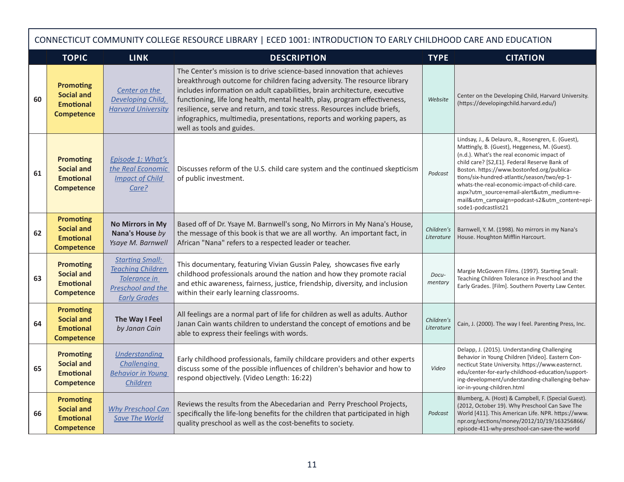|    | CONNECTICUT COMMUNITY COLLEGE RESOURCE LIBRARY   ECED 1001: INTRODUCTION TO EARLY CHILDHOOD CARE AND EDUCATION |                                                                                                                |                                                                                                                                                                                                                                                                                                                                                                                                                                                                                                     |                          |                                                                                                                                                                                                                                                                                                                                                                                                                                                                      |  |  |  |
|----|----------------------------------------------------------------------------------------------------------------|----------------------------------------------------------------------------------------------------------------|-----------------------------------------------------------------------------------------------------------------------------------------------------------------------------------------------------------------------------------------------------------------------------------------------------------------------------------------------------------------------------------------------------------------------------------------------------------------------------------------------------|--------------------------|----------------------------------------------------------------------------------------------------------------------------------------------------------------------------------------------------------------------------------------------------------------------------------------------------------------------------------------------------------------------------------------------------------------------------------------------------------------------|--|--|--|
|    | <b>TOPIC</b>                                                                                                   | <b>LINK</b>                                                                                                    | <b>DESCRIPTION</b>                                                                                                                                                                                                                                                                                                                                                                                                                                                                                  | <b>TYPE</b>              | <b>CITATION</b>                                                                                                                                                                                                                                                                                                                                                                                                                                                      |  |  |  |
| 60 | <b>Promoting</b><br><b>Social and</b><br><b>Emotional</b><br><b>Competence</b>                                 | Center on the<br>Developing Child,<br><b>Harvard University</b>                                                | The Center's mission is to drive science-based innovation that achieves<br>breakthrough outcome for children facing adversity. The resource library<br>includes information on adult capabilities, brain architecture, executive<br>functioning, life long health, mental health, play, program effectiveness,<br>resilience, serve and return, and toxic stress. Resources include briefs,<br>infographics, multimedia, presentations, reports and working papers, as<br>well as tools and guides. | Website                  | Center on the Developing Child, Harvard University.<br>(https://developingchild.harvard.edu/)                                                                                                                                                                                                                                                                                                                                                                        |  |  |  |
| 61 | <b>Promoting</b><br><b>Social and</b><br><b>Emotional</b><br><b>Competence</b>                                 | Episode 1: What's<br>the Real Economic<br><b>Impact of Child</b><br>Care?                                      | Discusses reform of the U.S. child care system and the continued skepticism<br>of public investment.                                                                                                                                                                                                                                                                                                                                                                                                | Podcast                  | Lindsay, J., & Delauro, R., Rosengren, E. (Guest),<br>Mattingly, B. (Guest), Heggeness, M. (Guest).<br>(n.d.). What's the real economic impact of<br>child care? [S2,E1]. Federal Reserve Bank of<br>Boston. https://www.bostonfed.org/publica-<br>tions/six-hundred-atlantic/season/two/ep-1-<br>whats-the-real-economic-impact-of-child-care.<br>aspx?utm source=email-alert&utm medium=e-<br>mail&utm_campaign=podcast-s2&utm_content=epi-<br>sode1-podcastlist21 |  |  |  |
| 62 | <b>Promoting</b><br><b>Social and</b><br><b>Emotional</b><br><b>Competence</b>                                 | <b>No Mirrors in My</b><br>Nana's House by<br>Ysaye M. Barnwell                                                | Based off of Dr. Ysaye M. Barnwell's song, No Mirrors in My Nana's House,<br>the message of this book is that we are all worthy. An important fact, in<br>African "Nana" refers to a respected leader or teacher.                                                                                                                                                                                                                                                                                   | Children's<br>Literature | Barnwell, Y. M. (1998). No mirrors in my Nana's<br>House. Houghton Mifflin Harcourt.                                                                                                                                                                                                                                                                                                                                                                                 |  |  |  |
| 63 | <b>Promoting</b><br><b>Social and</b><br><b>Emotional</b><br><b>Competence</b>                                 | <b>Starting Small:</b><br><b>Teaching Children</b><br>Tolerance in<br>Preschool and the<br><b>Early Grades</b> | This documentary, featuring Vivian Gussin Paley, showcases five early<br>childhood professionals around the nation and how they promote racial<br>and ethic awareness, fairness, justice, friendship, diversity, and inclusion<br>within their early learning classrooms.                                                                                                                                                                                                                           | Docu-<br>mentary         | Margie McGovern Films. (1997). Starting Small:<br>Teaching Children Tolerance in Preschool and the<br>Early Grades. [Film]. Southern Poverty Law Center.                                                                                                                                                                                                                                                                                                             |  |  |  |
| 64 | <b>Promoting</b><br><b>Social and</b><br><b>Emotional</b><br><b>Competence</b>                                 | The Way I Feel<br>by Janan Cain                                                                                | All feelings are a normal part of life for children as well as adults. Author<br>Janan Cain wants children to understand the concept of emotions and be<br>able to express their feelings with words.                                                                                                                                                                                                                                                                                               | Children's<br>Literature | Cain, J. (2000). The way I feel. Parenting Press, Inc.                                                                                                                                                                                                                                                                                                                                                                                                               |  |  |  |
| 65 | <b>Promoting</b><br><b>Social and</b><br><b>Emotional</b><br><b>Competence</b>                                 | Understanding<br><b>Challenging</b><br><b>Behavior in Young</b><br>Children                                    | Early childhood professionals, family childcare providers and other experts<br>discuss some of the possible influences of children's behavior and how to<br>respond objectively. (Video Length: 16:22)                                                                                                                                                                                                                                                                                              | Video                    | Delapp, J. (2015). Understanding Challenging<br>Behavior in Young Children [Video]. Eastern Con-<br>necticut State University. https://www.easternct.<br>edu/center-for-early-childhood-education/support-<br>ing-development/understanding-challenging-behav-<br>ior-in-young-children.html                                                                                                                                                                         |  |  |  |
| 66 | <b>Promoting</b><br><b>Social and</b><br><b>Emotional</b><br><b>Competence</b>                                 | <b>Why Preschool Can</b><br><b>Save The World</b>                                                              | Reviews the results from the Abecedarian and Perry Preschool Projects,<br>specifically the life-long benefits for the children that participated in high<br>quality preschool as well as the cost-benefits to society.                                                                                                                                                                                                                                                                              | Podcast                  | Blumberg, A. (Host) & Campbell, F. (Special Guest).<br>(2012, October 19). Why Preschool Can Save The<br>World [411]. This American Life. NPR. https://www.<br>npr.org/sections/money/2012/10/19/163256866/<br>episode-411-why-preschool-can-save-the-world                                                                                                                                                                                                          |  |  |  |

Г